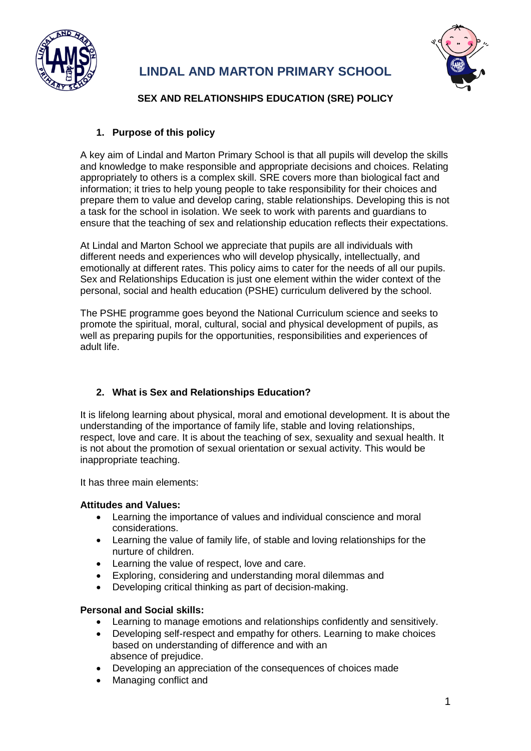

## **LINDAL AND MARTON PRIMARY SCHOOL**



## **SEX AND RELATIONSHIPS EDUCATION (SRE) POLICY**

## **1. Purpose of this policy**

A key aim of Lindal and Marton Primary School is that all pupils will develop the skills and knowledge to make responsible and appropriate decisions and choices. Relating appropriately to others is a complex skill. SRE covers more than biological fact and information; it tries to help young people to take responsibility for their choices and prepare them to value and develop caring, stable relationships. Developing this is not a task for the school in isolation. We seek to work with parents and guardians to ensure that the teaching of sex and relationship education reflects their expectations.

At Lindal and Marton School we appreciate that pupils are all individuals with different needs and experiences who will develop physically, intellectually, and emotionally at different rates. This policy aims to cater for the needs of all our pupils. Sex and Relationships Education is just one element within the wider context of the personal, social and health education (PSHE) curriculum delivered by the school.

The PSHE programme goes beyond the National Curriculum science and seeks to promote the spiritual, moral, cultural, social and physical development of pupils, as well as preparing pupils for the opportunities, responsibilities and experiences of adult life.

## **2. What is Sex and Relationships Education?**

It is lifelong learning about physical, moral and emotional development. It is about the understanding of the importance of family life, stable and loving relationships, respect, love and care. It is about the teaching of sex, sexuality and sexual health. It is not about the promotion of sexual orientation or sexual activity. This would be inappropriate teaching.

It has three main elements:

## **Attitudes and Values:**

- Learning the importance of values and individual conscience and moral considerations.
- Learning the value of family life, of stable and loving relationships for the nurture of children.
- Learning the value of respect, love and care.
- Exploring, considering and understanding moral dilemmas and
- Developing critical thinking as part of decision-making.

#### **Personal and Social skills:**

- Learning to manage emotions and relationships confidently and sensitively.
- Developing self-respect and empathy for others. Learning to make choices based on understanding of difference and with an absence of prejudice.
- Developing an appreciation of the consequences of choices made
- Managing conflict and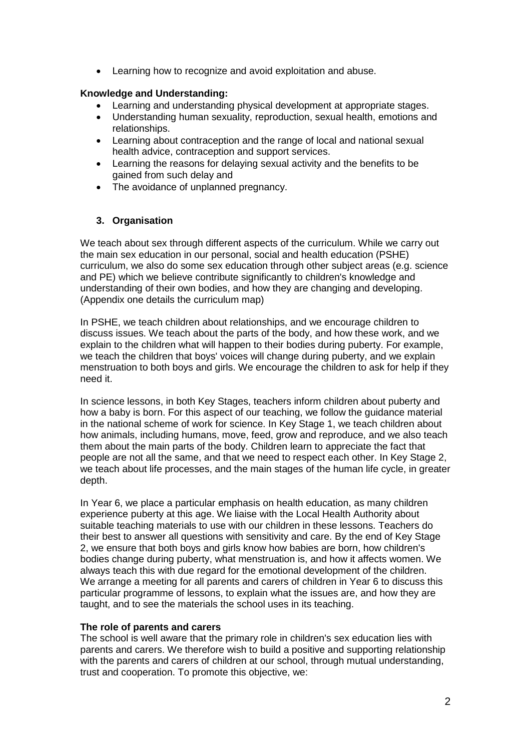• Learning how to recognize and avoid exploitation and abuse.

#### **Knowledge and Understanding:**

- Learning and understanding physical development at appropriate stages.
- Understanding human sexuality, reproduction, sexual health, emotions and relationships.
- Learning about contraception and the range of local and national sexual health advice, contraception and support services.
- Learning the reasons for delaying sexual activity and the benefits to be gained from such delay and
- The avoidance of unplanned pregnancy.

## **3. Organisation**

We teach about sex through different aspects of the curriculum. While we carry out the main sex education in our personal, social and health education (PSHE) curriculum, we also do some sex education through other subject areas (e.g. science and PE) which we believe contribute significantly to children's knowledge and understanding of their own bodies, and how they are changing and developing. (Appendix one details the curriculum map)

In PSHE, we teach children about relationships, and we encourage children to discuss issues. We teach about the parts of the body, and how these work, and we explain to the children what will happen to their bodies during puberty. For example, we teach the children that boys' voices will change during puberty, and we explain menstruation to both boys and girls. We encourage the children to ask for help if they need it.

In science lessons, in both Key Stages, teachers inform children about puberty and how a baby is born. For this aspect of our teaching, we follow the guidance material in the national scheme of work for science. In Key Stage 1, we teach children about how animals, including humans, move, feed, grow and reproduce, and we also teach them about the main parts of the body. Children learn to appreciate the fact that people are not all the same, and that we need to respect each other. In Key Stage 2, we teach about life processes, and the main stages of the human life cycle, in greater depth.

In Year 6, we place a particular emphasis on health education, as many children experience puberty at this age. We liaise with the Local Health Authority about suitable teaching materials to use with our children in these lessons. Teachers do their best to answer all questions with sensitivity and care. By the end of Key Stage 2, we ensure that both boys and girls know how babies are born, how children's bodies change during puberty, what menstruation is, and how it affects women. We always teach this with due regard for the emotional development of the children. We arrange a meeting for all parents and carers of children in Year 6 to discuss this particular programme of lessons, to explain what the issues are, and how they are taught, and to see the materials the school uses in its teaching.

#### **The role of parents and carers**

The school is well aware that the primary role in children's sex education lies with parents and carers. We therefore wish to build a positive and supporting relationship with the parents and carers of children at our school, through mutual understanding, trust and cooperation. To promote this objective, we: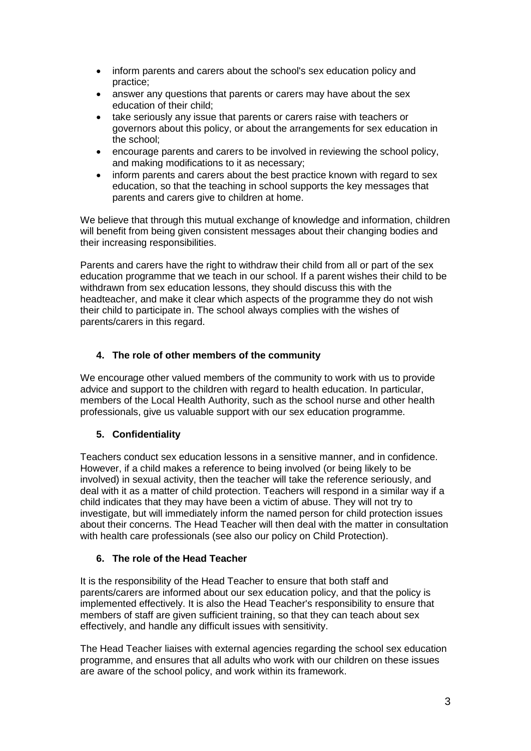- inform parents and carers about the school's sex education policy and practice;
- answer any questions that parents or carers may have about the sex education of their child;
- take seriously any issue that parents or carers raise with teachers or governors about this policy, or about the arrangements for sex education in the school;
- encourage parents and carers to be involved in reviewing the school policy, and making modifications to it as necessary;
- inform parents and carers about the best practice known with regard to sex education, so that the teaching in school supports the key messages that parents and carers give to children at home.

We believe that through this mutual exchange of knowledge and information, children will benefit from being given consistent messages about their changing bodies and their increasing responsibilities.

Parents and carers have the right to withdraw their child from all or part of the sex education programme that we teach in our school. If a parent wishes their child to be withdrawn from sex education lessons, they should discuss this with the headteacher, and make it clear which aspects of the programme they do not wish their child to participate in. The school always complies with the wishes of parents/carers in this regard.

## **4. The role of other members of the community**

We encourage other valued members of the community to work with us to provide advice and support to the children with regard to health education. In particular, members of the Local Health Authority, such as the school nurse and other health professionals, give us valuable support with our sex education programme.

## **5. Confidentiality**

Teachers conduct sex education lessons in a sensitive manner, and in confidence. However, if a child makes a reference to being involved (or being likely to be involved) in sexual activity, then the teacher will take the reference seriously, and deal with it as a matter of child protection. Teachers will respond in a similar way if a child indicates that they may have been a victim of abuse. They will not try to investigate, but will immediately inform the named person for child protection issues about their concerns. The Head Teacher will then deal with the matter in consultation with health care professionals (see also our policy on Child Protection).

## **6. The role of the Head Teacher**

It is the responsibility of the Head Teacher to ensure that both staff and parents/carers are informed about our sex education policy, and that the policy is implemented effectively. It is also the Head Teacher's responsibility to ensure that members of staff are given sufficient training, so that they can teach about sex effectively, and handle any difficult issues with sensitivity.

The Head Teacher liaises with external agencies regarding the school sex education programme, and ensures that all adults who work with our children on these issues are aware of the school policy, and work within its framework.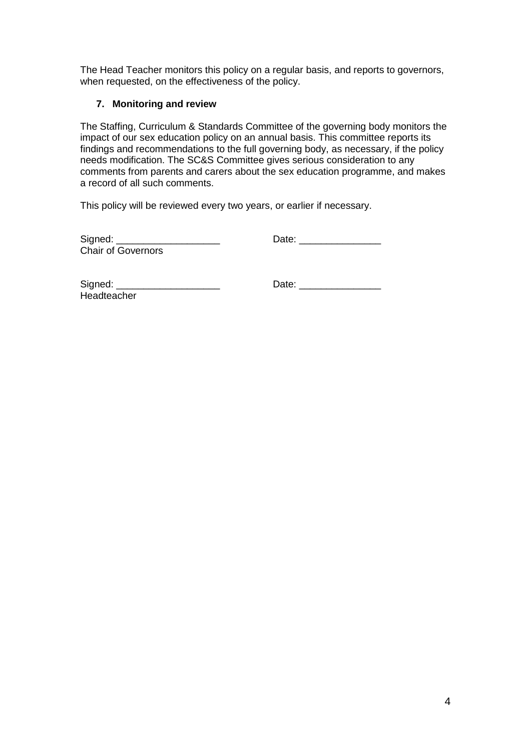The Head Teacher monitors this policy on a regular basis, and reports to governors, when requested, on the effectiveness of the policy.

### **7. Monitoring and review**

The Staffing, Curriculum & Standards Committee of the governing body monitors the impact of our sex education policy on an annual basis. This committee reports its findings and recommendations to the full governing body, as necessary, if the policy needs modification. The SC&S Committee gives serious consideration to any comments from parents and carers about the sex education programme, and makes a record of all such comments.

This policy will be reviewed every two years, or earlier if necessary.

| Signed:                   | Date: |
|---------------------------|-------|
| <b>Chair of Governors</b> |       |

| Signed:     |  |
|-------------|--|
| Headteacher |  |

Signed: \_\_\_\_\_\_\_\_\_\_\_\_\_\_\_\_\_\_\_ Date: \_\_\_\_\_\_\_\_\_\_\_\_\_\_\_